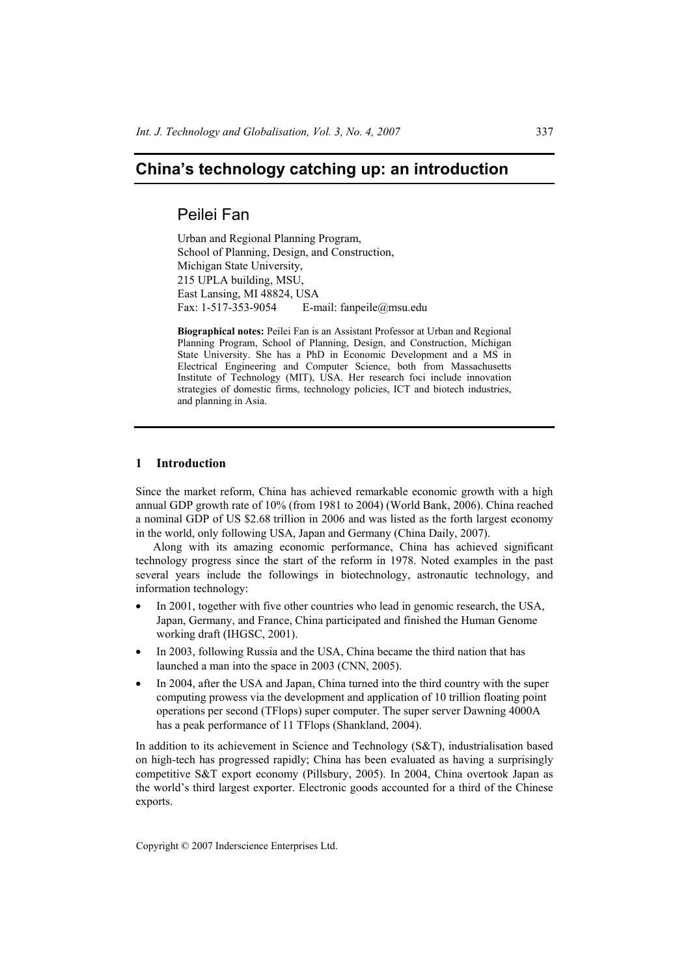# **China's technology catching up: an introduction**

## Peilei Fan

Urban and Regional Planning Program, School of Planning, Design, and Construction, Michigan State University, 215 UPLA building, MSU, East Lansing, MI 48824, USA Fax: 1-517-353-9054 E-mail: fanpeile@msu.edu

**Biographical notes:** Peilei Fan is an Assistant Professor at Urban and Regional Planning Program, School of Planning, Design, and Construction, Michigan State University. She has a PhD in Economic Development and a MS in Electrical Engineering and Computer Science, both from Massachusetts Institute of Technology (MIT), USA. Her research foci include innovation strategies of domestic firms, technology policies, ICT and biotech industries, and planning in Asia.

#### **1 Introduction**

Since the market reform, China has achieved remarkable economic growth with a high annual GDP growth rate of 10% (from 1981 to 2004) (World Bank, 2006). China reached a nominal GDP of US \$2.68 trillion in 2006 and was listed as the forth largest economy in the world, only following USA, Japan and Germany (China Daily, 2007).

Along with its amazing economic performance, China has achieved significant technology progress since the start of the reform in 1978. Noted examples in the past several years include the followings in biotechnology, astronautic technology, and information technology:

- In 2001, together with five other countries who lead in genomic research, the USA, Japan, Germany, and France, China participated and finished the Human Genome working draft (IHGSC, 2001).
- In 2003, following Russia and the USA, China became the third nation that has launched a man into the space in 2003 (CNN, 2005).
- In 2004, after the USA and Japan, China turned into the third country with the super computing prowess via the development and application of 10 trillion floating point operations per second (TFlops) super computer. The super server Dawning 4000A has a peak performance of 11 TFlops (Shankland, 2004).

In addition to its achievement in Science and Technology (S&T), industrialisation based on high-tech has progressed rapidly; China has been evaluated as having a surprisingly competitive S&T export economy (Pillsbury, 2005). In 2004, China overtook Japan as the world's third largest exporter. Electronic goods accounted for a third of the Chinese exports.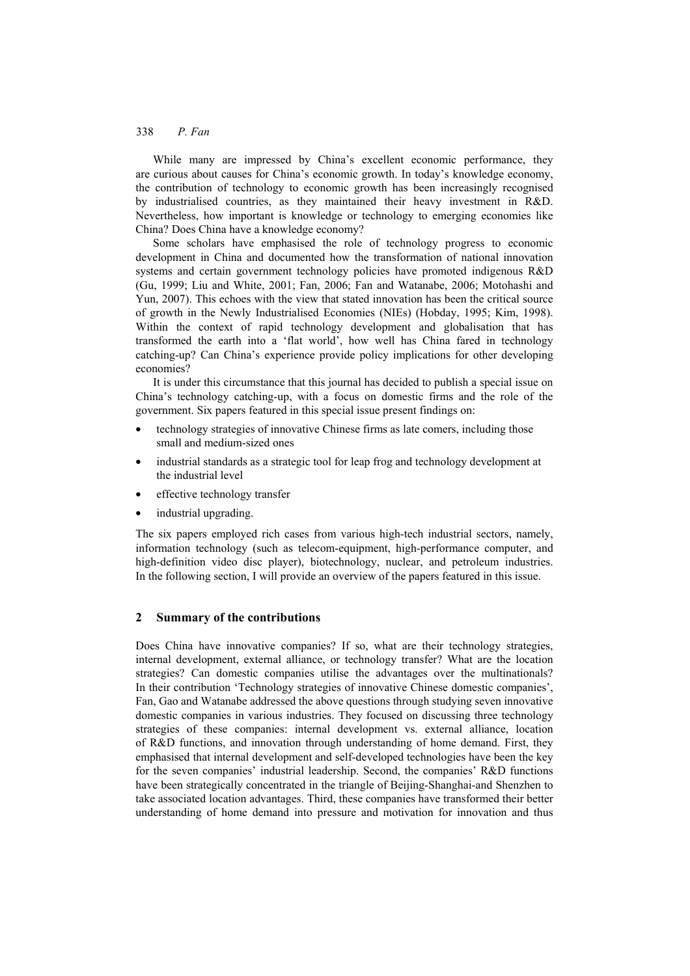### 338 *P. Fan*

While many are impressed by China's excellent economic performance, they are curious about causes for China's economic growth. In today's knowledge economy, the contribution of technology to economic growth has been increasingly recognised by industrialised countries, as they maintained their heavy investment in R&D. Nevertheless, how important is knowledge or technology to emerging economies like China? Does China have a knowledge economy?

Some scholars have emphasised the role of technology progress to economic development in China and documented how the transformation of national innovation systems and certain government technology policies have promoted indigenous R&D (Gu, 1999; Liu and White, 2001; Fan, 2006; Fan and Watanabe, 2006; Motohashi and Yun, 2007). This echoes with the view that stated innovation has been the critical source of growth in the Newly Industrialised Economies (NIEs) (Hobday, 1995; Kim, 1998). Within the context of rapid technology development and globalisation that has transformed the earth into a 'flat world', how well has China fared in technology catching-up? Can China's experience provide policy implications for other developing economies?

It is under this circumstance that this journal has decided to publish a special issue on China's technology catching-up, with a focus on domestic firms and the role of the government. Six papers featured in this special issue present findings on:

- technology strategies of innovative Chinese firms as late comers, including those small and medium-sized ones
- industrial standards as a strategic tool for leap frog and technology development at the industrial level
- effective technology transfer
- industrial upgrading.

The six papers employed rich cases from various high-tech industrial sectors, namely, information technology (such as telecom-equipment, high-performance computer, and high-definition video disc player), biotechnology, nuclear, and petroleum industries. In the following section, I will provide an overview of the papers featured in this issue.

#### **2 Summary of the contributions**

Does China have innovative companies? If so, what are their technology strategies, internal development, external alliance, or technology transfer? What are the location strategies? Can domestic companies utilise the advantages over the multinationals? In their contribution 'Technology strategies of innovative Chinese domestic companies', Fan, Gao and Watanabe addressed the above questions through studying seven innovative domestic companies in various industries. They focused on discussing three technology strategies of these companies: internal development vs. external alliance, location of R&D functions, and innovation through understanding of home demand. First, they emphasised that internal development and self-developed technologies have been the key for the seven companies' industrial leadership. Second, the companies' R&D functions have been strategically concentrated in the triangle of Beijing-Shanghai-and Shenzhen to take associated location advantages. Third, these companies have transformed their better understanding of home demand into pressure and motivation for innovation and thus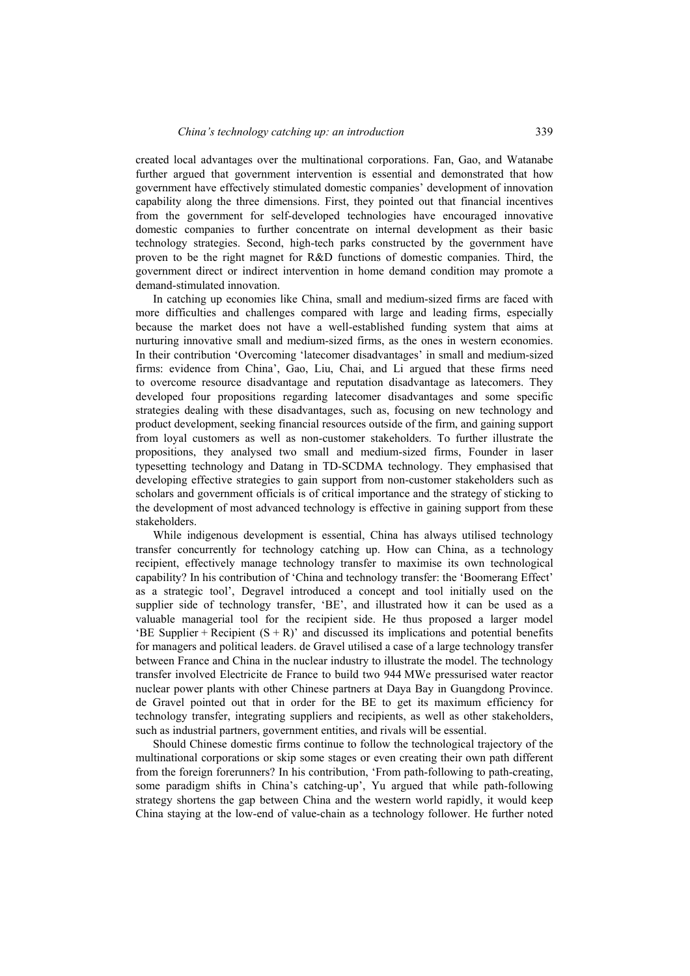created local advantages over the multinational corporations. Fan, Gao, and Watanabe further argued that government intervention is essential and demonstrated that how government have effectively stimulated domestic companies' development of innovation capability along the three dimensions. First, they pointed out that financial incentives from the government for self-developed technologies have encouraged innovative domestic companies to further concentrate on internal development as their basic technology strategies. Second, high-tech parks constructed by the government have proven to be the right magnet for R&D functions of domestic companies. Third, the government direct or indirect intervention in home demand condition may promote a demand-stimulated innovation.

In catching up economies like China, small and medium-sized firms are faced with more difficulties and challenges compared with large and leading firms, especially because the market does not have a well-established funding system that aims at nurturing innovative small and medium-sized firms, as the ones in western economies. In their contribution 'Overcoming 'latecomer disadvantages' in small and medium-sized firms: evidence from China', Gao, Liu, Chai, and Li argued that these firms need to overcome resource disadvantage and reputation disadvantage as latecomers. They developed four propositions regarding latecomer disadvantages and some specific strategies dealing with these disadvantages, such as, focusing on new technology and product development, seeking financial resources outside of the firm, and gaining support from loyal customers as well as non-customer stakeholders. To further illustrate the propositions, they analysed two small and medium-sized firms, Founder in laser typesetting technology and Datang in TD-SCDMA technology. They emphasised that developing effective strategies to gain support from non-customer stakeholders such as scholars and government officials is of critical importance and the strategy of sticking to the development of most advanced technology is effective in gaining support from these stakeholders.

While indigenous development is essential, China has always utilised technology transfer concurrently for technology catching up. How can China, as a technology recipient, effectively manage technology transfer to maximise its own technological capability? In his contribution of 'China and technology transfer: the 'Boomerang Effect' as a strategic tool', Degravel introduced a concept and tool initially used on the supplier side of technology transfer, 'BE', and illustrated how it can be used as a valuable managerial tool for the recipient side. He thus proposed a larger model 'BE Supplier + Recipient  $(S + R)$ ' and discussed its implications and potential benefits for managers and political leaders. de Gravel utilised a case of a large technology transfer between France and China in the nuclear industry to illustrate the model. The technology transfer involved Electricite de France to build two 944 MWe pressurised water reactor nuclear power plants with other Chinese partners at Daya Bay in Guangdong Province. de Gravel pointed out that in order for the BE to get its maximum efficiency for technology transfer, integrating suppliers and recipients, as well as other stakeholders, such as industrial partners, government entities, and rivals will be essential.

Should Chinese domestic firms continue to follow the technological trajectory of the multinational corporations or skip some stages or even creating their own path different from the foreign forerunners? In his contribution, 'From path-following to path-creating, some paradigm shifts in China's catching-up', Yu argued that while path-following strategy shortens the gap between China and the western world rapidly, it would keep China staying at the low-end of value-chain as a technology follower. He further noted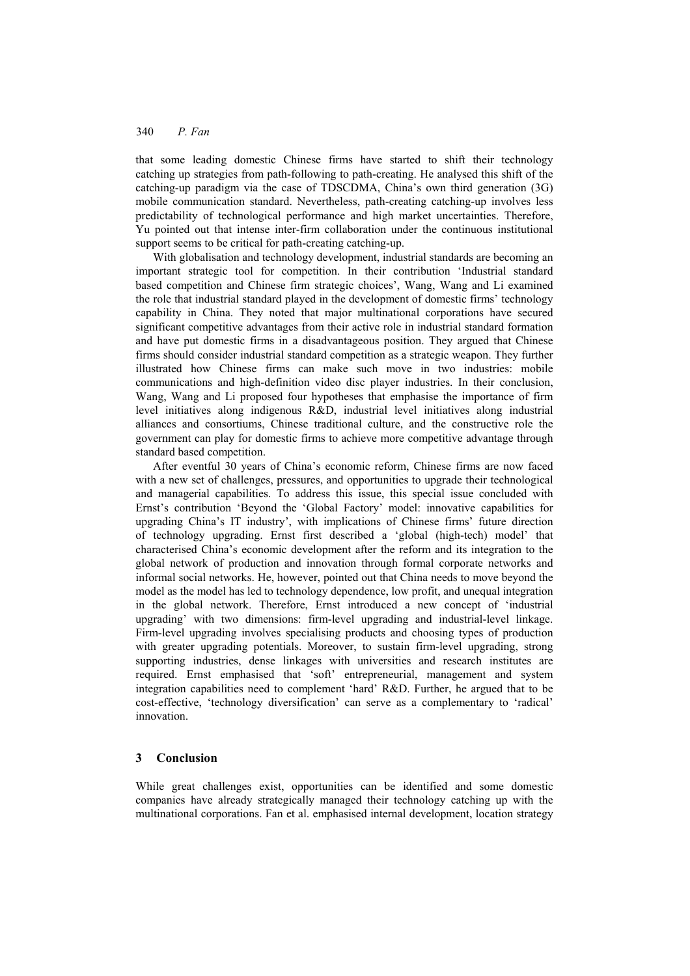## 340 *P. Fan*

that some leading domestic Chinese firms have started to shift their technology catching up strategies from path-following to path-creating. He analysed this shift of the catching-up paradigm via the case of TDSCDMA, China's own third generation (3G) mobile communication standard. Nevertheless, path-creating catching-up involves less predictability of technological performance and high market uncertainties. Therefore, Yu pointed out that intense inter-firm collaboration under the continuous institutional support seems to be critical for path-creating catching-up.

With globalisation and technology development, industrial standards are becoming an important strategic tool for competition. In their contribution 'Industrial standard based competition and Chinese firm strategic choices', Wang, Wang and Li examined the role that industrial standard played in the development of domestic firms' technology capability in China. They noted that major multinational corporations have secured significant competitive advantages from their active role in industrial standard formation and have put domestic firms in a disadvantageous position. They argued that Chinese firms should consider industrial standard competition as a strategic weapon. They further illustrated how Chinese firms can make such move in two industries: mobile communications and high-definition video disc player industries. In their conclusion, Wang, Wang and Li proposed four hypotheses that emphasise the importance of firm level initiatives along indigenous R&D, industrial level initiatives along industrial alliances and consortiums, Chinese traditional culture, and the constructive role the government can play for domestic firms to achieve more competitive advantage through standard based competition.

After eventful 30 years of China's economic reform, Chinese firms are now faced with a new set of challenges, pressures, and opportunities to upgrade their technological and managerial capabilities. To address this issue, this special issue concluded with Ernst's contribution 'Beyond the 'Global Factory' model: innovative capabilities for upgrading China's IT industry', with implications of Chinese firms' future direction of technology upgrading. Ernst first described a 'global (high-tech) model' that characterised China's economic development after the reform and its integration to the global network of production and innovation through formal corporate networks and informal social networks. He, however, pointed out that China needs to move beyond the model as the model has led to technology dependence, low profit, and unequal integration in the global network. Therefore, Ernst introduced a new concept of 'industrial upgrading' with two dimensions: firm-level upgrading and industrial-level linkage. Firm-level upgrading involves specialising products and choosing types of production with greater upgrading potentials. Moreover, to sustain firm-level upgrading, strong supporting industries, dense linkages with universities and research institutes are required. Ernst emphasised that 'soft' entrepreneurial, management and system integration capabilities need to complement 'hard' R&D. Further, he argued that to be cost-effective, 'technology diversification' can serve as a complementary to 'radical' innovation.

### **3 Conclusion**

While great challenges exist, opportunities can be identified and some domestic companies have already strategically managed their technology catching up with the multinational corporations. Fan et al. emphasised internal development, location strategy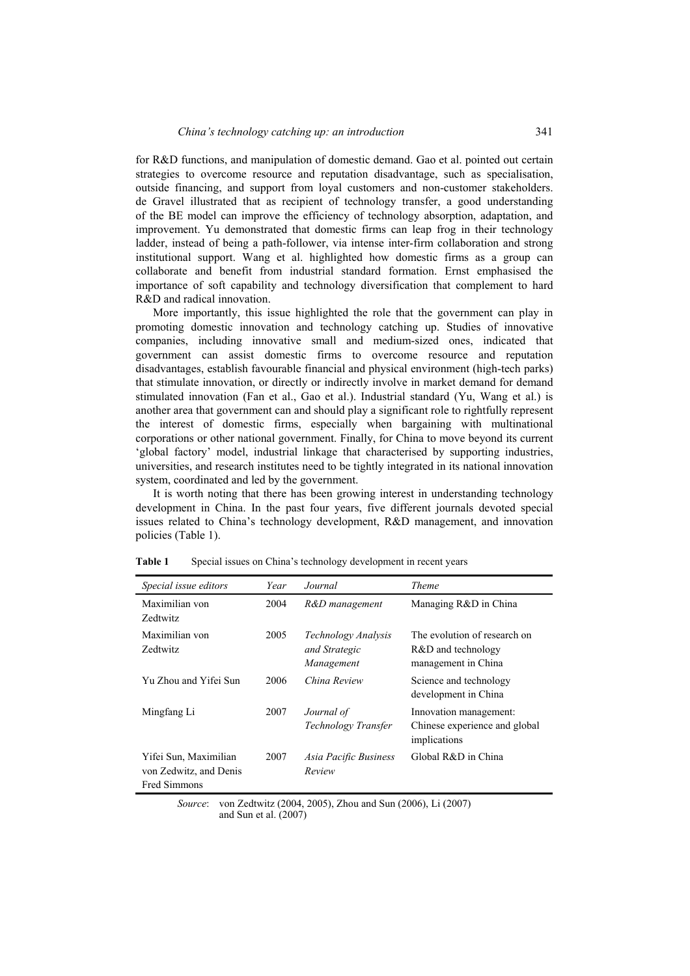for R&D functions, and manipulation of domestic demand. Gao et al. pointed out certain strategies to overcome resource and reputation disadvantage, such as specialisation, outside financing, and support from loyal customers and non-customer stakeholders. de Gravel illustrated that as recipient of technology transfer, a good understanding of the BE model can improve the efficiency of technology absorption, adaptation, and improvement. Yu demonstrated that domestic firms can leap frog in their technology ladder, instead of being a path-follower, via intense inter-firm collaboration and strong institutional support. Wang et al. highlighted how domestic firms as a group can collaborate and benefit from industrial standard formation. Ernst emphasised the importance of soft capability and technology diversification that complement to hard R&D and radical innovation.

More importantly, this issue highlighted the role that the government can play in promoting domestic innovation and technology catching up. Studies of innovative companies, including innovative small and medium-sized ones, indicated that government can assist domestic firms to overcome resource and reputation disadvantages, establish favourable financial and physical environment (high-tech parks) that stimulate innovation, or directly or indirectly involve in market demand for demand stimulated innovation (Fan et al., Gao et al.). Industrial standard (Yu, Wang et al.) is another area that government can and should play a significant role to rightfully represent the interest of domestic firms, especially when bargaining with multinational corporations or other national government. Finally, for China to move beyond its current 'global factory' model, industrial linkage that characterised by supporting industries, universities, and research institutes need to be tightly integrated in its national innovation system, coordinated and led by the government.

It is worth noting that there has been growing interest in understanding technology development in China. In the past four years, five different journals devoted special issues related to China's technology development, R&D management, and innovation policies (Table 1).

| Special issue editors                                                  | Year | Journal                                            | <i>Theme</i>                                                              |
|------------------------------------------------------------------------|------|----------------------------------------------------|---------------------------------------------------------------------------|
| Maximilian von<br>Zedtwitz                                             | 2004 | R&D management                                     | Managing R&D in China                                                     |
| Maximilian von<br>Zedtwitz                                             | 2005 | Technology Analysis<br>and Strategic<br>Management | The evolution of research on<br>R&D and technology<br>management in China |
| Yu Zhou and Yifei Sun                                                  | 2006 | China Review                                       | Science and technology<br>development in China                            |
| Mingfang Li                                                            | 2007 | Journal of<br>Technology Transfer                  | Innovation management:<br>Chinese experience and global<br>implications   |
| Yifei Sun, Maximilian<br>von Zedwitz, and Denis<br><b>Fred Simmons</b> | 2007 | Asia Pacific Business<br>Review                    | Global R&D in China                                                       |

Table 1 Special issues on China's technology development in recent years

*Source*: von Zedtwitz (2004, 2005), Zhou and Sun (2006), Li (2007) and Sun et al. (2007)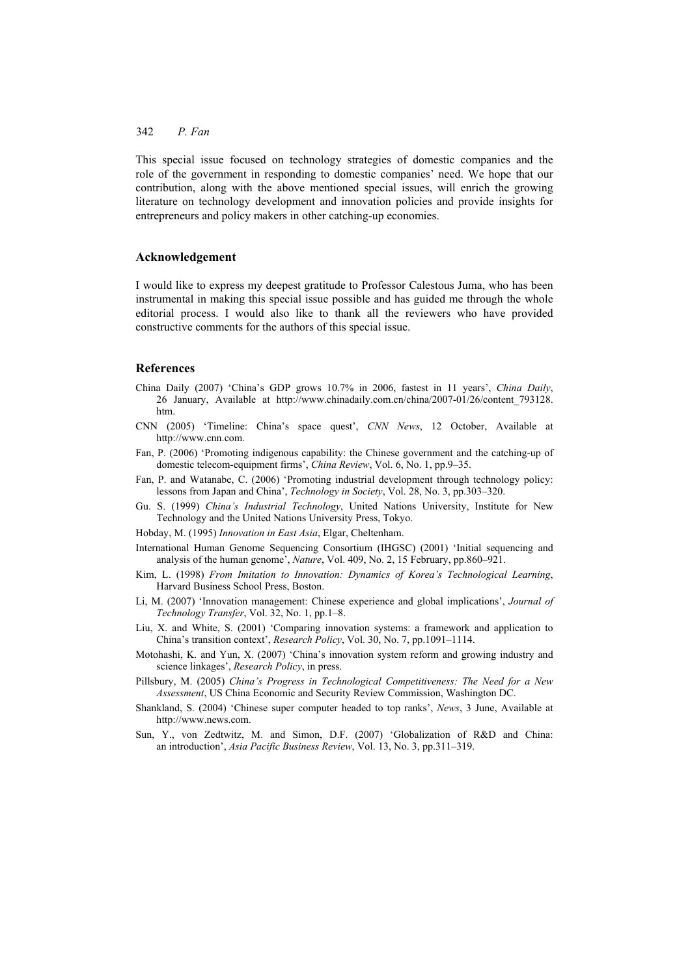## 342 *P. Fan*

This special issue focused on technology strategies of domestic companies and the role of the government in responding to domestic companies' need. We hope that our contribution, along with the above mentioned special issues, will enrich the growing literature on technology development and innovation policies and provide insights for entrepreneurs and policy makers in other catching-up economies.

#### **Acknowledgement**

I would like to express my deepest gratitude to Professor Calestous Juma, who has been instrumental in making this special issue possible and has guided me through the whole editorial process. I would also like to thank all the reviewers who have provided constructive comments for the authors of this special issue.

#### **References**

- China Daily (2007) 'China's GDP grows 10.7% in 2006, fastest in 11 years', *China Daily*, 26 January, Available at http://www.chinadaily.com.cn/china/2007-01/26/content\_793128. htm.
- CNN (2005) 'Timeline: China's space quest', *CNN News*, 12 October, Available at http://www.cnn.com.
- Fan, P. (2006) 'Promoting indigenous capability: the Chinese government and the catching-up of domestic telecom-equipment firms', *China Review*, Vol. 6, No. 1, pp.9–35.
- Fan, P. and Watanabe, C. (2006) 'Promoting industrial development through technology policy: lessons from Japan and China', *Technology in Society*, Vol. 28, No. 3, pp.303–320.
- Gu. S. (1999) *China's Industrial Technology*, United Nations University, Institute for New Technology and the United Nations University Press, Tokyo.
- Hobday, M. (1995) *Innovation in East Asia*, Elgar, Cheltenham.
- International Human Genome Sequencing Consortium (IHGSC) (2001) 'Initial sequencing and analysis of the human genome', *Nature*, Vol. 409, No. 2, 15 February, pp.860–921.
- Kim, L. (1998) *From Imitation to Innovation: Dynamics of Korea's Technological Learning*, Harvard Business School Press, Boston.
- Li, M. (2007) 'Innovation management: Chinese experience and global implications', *Journal of Technology Transfer*, Vol. 32, No. 1, pp.1–8.
- Liu, X. and White, S. (2001) 'Comparing innovation systems: a framework and application to China's transition context', *Research Policy*, Vol. 30, No. 7, pp.1091–1114.
- Motohashi, K. and Yun, X. (2007) 'China's innovation system reform and growing industry and science linkages', *Research Policy*, in press.
- Pillsbury, M. (2005) *China's Progress in Technological Competitiveness: The Need for a New Assessment*, US China Economic and Security Review Commission, Washington DC.
- Shankland, S. (2004) 'Chinese super computer headed to top ranks', *News*, 3 June, Available at http://www.news.com.
- Sun, Y., von Zedtwitz, M. and Simon, D.F. (2007) 'Globalization of R&D and China: an introduction', *Asia Pacific Business Review*, Vol. 13, No. 3, pp.311–319.